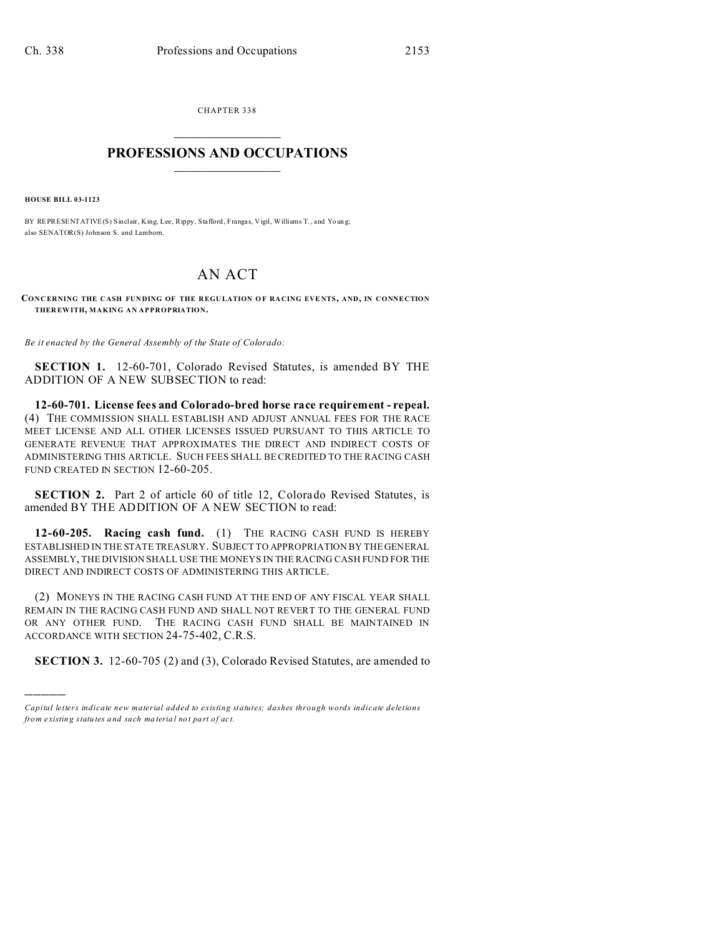CHAPTER 338  $\overline{\phantom{a}}$  , where  $\overline{\phantom{a}}$ 

## **PROFESSIONS AND OCCUPATIONS**  $\frac{1}{2}$  ,  $\frac{1}{2}$  ,  $\frac{1}{2}$  ,  $\frac{1}{2}$  ,  $\frac{1}{2}$  ,  $\frac{1}{2}$

**HOUSE BILL 03-1123**

)))))

BY REPRESENTATIVE(S) Sinclair, King, Lee, Rippy, Stafford, Frangas, Vigil, Williams T., and Young; also SENATOR(S) Johnson S. and Lamborn.

## AN ACT

**CONCERNING THE C ASH FUN DING OF THE R EGU LATION O F RA CING EVE NTS, AND, IN CONNECTION THER EWITH, MAKING AN APPROPRIATION.**

*Be it enacted by the General Assembly of the State of Colorado:*

**SECTION 1.** 12-60-701, Colorado Revised Statutes, is amended BY THE ADDITION OF A NEW SUBSECTION to read:

**12-60-701. License fees and Colorado-bred horse race requirement - repeal.** (4) THE COMMISSION SHALL ESTABLISH AND ADJUST ANNUAL FEES FOR THE RACE MEET LICENSE AND ALL OTHER LICENSES ISSUED PURSUANT TO THIS ARTICLE TO GENERATE REVENUE THAT APPROXIMATES THE DIRECT AND INDIRECT COSTS OF ADMINISTERING THIS ARTICLE. SUCH FEES SHALL BE CREDITED TO THE RACING CASH FUND CREATED IN SECTION 12-60-205.

**SECTION 2.** Part 2 of article 60 of title 12, Colorado Revised Statutes, is amended BY THE ADDITION OF A NEW SECTION to read:

**12-60-205. Racing cash fund.** (1) THE RACING CASH FUND IS HEREBY ESTABLISHED IN THE STATE TREASURY. SUBJECT TO APPROPRIATION BY THE GENERAL ASSEMBLY, THE DIVISION SHALL USE THE MONEYS IN THE RACING CASH FUND FOR THE DIRECT AND INDIRECT COSTS OF ADMINISTERING THIS ARTICLE.

(2) MONEYS IN THE RACING CASH FUND AT THE END OF ANY FISCAL YEAR SHALL REMAIN IN THE RACING CASH FUND AND SHALL NOT REVERT TO THE GENERAL FUND OR ANY OTHER FUND. THE RACING CASH FUND SHALL BE MAINTAINED IN ACCORDANCE WITH SECTION 24-75-402, C.R.S.

**SECTION 3.** 12-60-705 (2) and (3), Colorado Revised Statutes, are amended to

*Capital letters indicate new material added to existing statutes; dashes through words indicate deletions from e xistin g statu tes a nd such ma teria l no t pa rt of ac t.*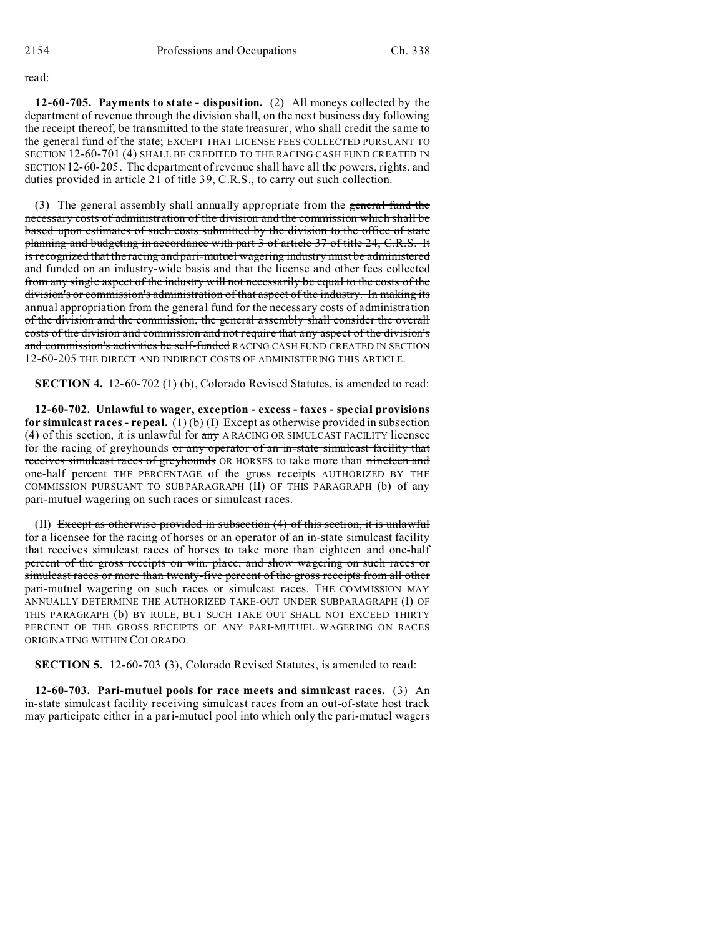read:

**12-60-705. Payments to state - disposition.** (2) All moneys collected by the department of revenue through the division shall, on the next business day following the receipt thereof, be transmitted to the state treasurer, who shall credit the same to the general fund of the state; EXCEPT THAT LICENSE FEES COLLECTED PURSUANT TO SECTION 12-60-701 (4) SHALL BE CREDITED TO THE RACING CASH FUND CREATED IN SECTION 12-60-205. The department of revenue shall have all the powers, rights, and duties provided in article 21 of title 39, C.R.S., to carry out such collection.

(3) The general assembly shall annually appropriate from the general fund the necessary costs of administration of the division and the commission which shall be based upon estimates of such costs submitted by the division to the office of state planning and budgeting in accordance with part 3 of article 37 of title 24, C.R.S. It is recognized that the racing and pari-mutuel wagering industry must be administered and funded on an industry-wide basis and that the license and other fees collected from any single aspect of the industry will not necessarily be equal to the costs of the division's or commission's administration of that aspect of the industry. In making its annual appropriation from the general fund for the necessary costs of administration of the division and the commission, the general assembly shall consider the overall costs of the division and commission and not require that any aspect of the division's and commission's activities be self-funded RACING CASH FUND CREATED IN SECTION 12-60-205 THE DIRECT AND INDIRECT COSTS OF ADMINISTERING THIS ARTICLE.

**SECTION 4.** 12-60-702 (1) (b), Colorado Revised Statutes, is amended to read:

**12-60-702. Unlawful to wager, exception - excess - taxes - special provisions for simulcast races - repeal.** (1) (b) (I) Except as otherwise provided in subsection (4) of this section, it is unlawful for  $\frac{a_n}{b_n}$  A RACING OR SIMULCAST FACILITY licensee for the racing of greyhounds or any operator of an in-state simulcast facility that receives simulcast races of greyhounds OR HORSES to take more than nineteen and one-half percent THE PERCENTAGE of the gross receipts AUTHORIZED BY THE COMMISSION PURSUANT TO SUBPARAGRAPH (II) OF THIS PARAGRAPH (b) of any pari-mutuel wagering on such races or simulcast races.

(II) Except as otherwise provided in subsection (4) of this section, it is unlawful for a licensee for the racing of horses or an operator of an in-state simulcast facility that receives simulcast races of horses to take more than eighteen and one-half percent of the gross receipts on win, place, and show wagering on such races or simulcast races or more than twenty-five percent of the gross receipts from all other pari-mutuel wagering on such races or simulcast races. THE COMMISSION MAY ANNUALLY DETERMINE THE AUTHORIZED TAKE-OUT UNDER SUBPARAGRAPH (I) OF THIS PARAGRAPH (b) BY RULE, BUT SUCH TAKE OUT SHALL NOT EXCEED THIRTY PERCENT OF THE GROSS RECEIPTS OF ANY PARI-MUTUEL WAGERING ON RACES ORIGINATING WITHIN COLORADO.

**SECTION 5.** 12-60-703 (3), Colorado Revised Statutes, is amended to read:

**12-60-703. Pari-mutuel pools for race meets and simulcast races.** (3) An in-state simulcast facility receiving simulcast races from an out-of-state host track may participate either in a pari-mutuel pool into which only the pari-mutuel wagers